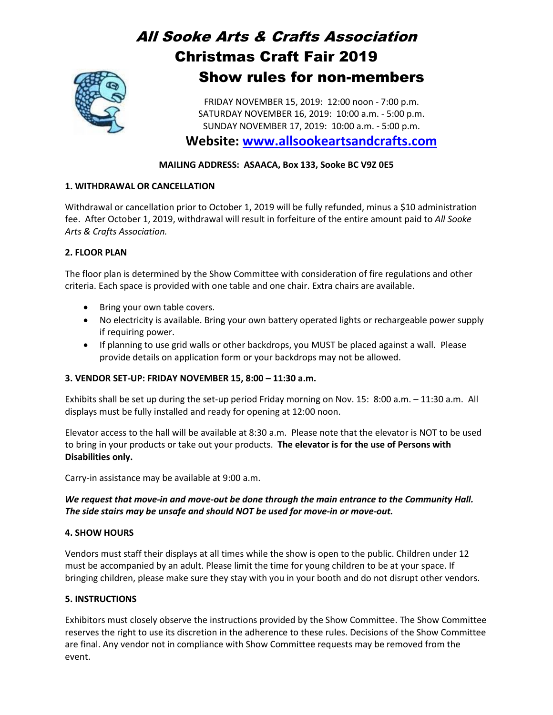# All Sooke Arts & Crafts Association Christmas Craft Fair 2019 Show rules for non-members

FRIDAY NOVEMBER 15, 2019: 12:00 noon - 7:00 p.m. SATURDAY NOVEMBER 16, 2019: 10:00 a.m. - 5:00 p.m. SUNDAY NOVEMBER 17, 2019: 10:00 a.m. - 5:00 p.m.

**Website: [www.allsookeartsandcrafts.com](http://www.allsookeartsandcrafts.com/)**

# **MAILING ADDRESS: ASAACA, Box 133, Sooke BC V9Z 0E5**

# **1. WITHDRAWAL OR CANCELLATION**

Withdrawal or cancellation prior to October 1, 2019 will be fully refunded, minus a \$10 administration fee. After October 1, 2019, withdrawal will result in forfeiture of the entire amount paid to *All Sooke Arts & Crafts Association.*

# **2. FLOOR PLAN**

The floor plan is determined by the Show Committee with consideration of fire regulations and other criteria. Each space is provided with one table and one chair. Extra chairs are available.

- Bring your own table covers.
- No electricity is available. Bring your own battery operated lights or rechargeable power supply if requiring power.
- If planning to use grid walls or other backdrops, you MUST be placed against a wall. Please provide details on application form or your backdrops may not be allowed.

# **3. VENDOR SET-UP: FRIDAY NOVEMBER 15, 8:00 – 11:30 a.m.**

Exhibits shall be set up during the set-up period Friday morning on Nov. 15: 8:00 a.m. – 11:30 a.m. All displays must be fully installed and ready for opening at 12:00 noon.

Elevator access to the hall will be available at 8:30 a.m. Please note that the elevator is NOT to be used to bring in your products or take out your products. **The elevator is for the use of Persons with Disabilities only.**

Carry-in assistance may be available at 9:00 a.m.

# *We request that move-in and move-out be done through the main entrance to the Community Hall. The side stairs may be unsafe and should NOT be used for move-in or move-out.*

# **4. SHOW HOURS**

Vendors must staff their displays at all times while the show is open to the public. Children under 12 must be accompanied by an adult. Please limit the time for young children to be at your space. If bringing children, please make sure they stay with you in your booth and do not disrupt other vendors.

# **5. INSTRUCTIONS**

Exhibitors must closely observe the instructions provided by the Show Committee. The Show Committee reserves the right to use its discretion in the adherence to these rules. Decisions of the Show Committee are final. Any vendor not in compliance with Show Committee requests may be removed from the event.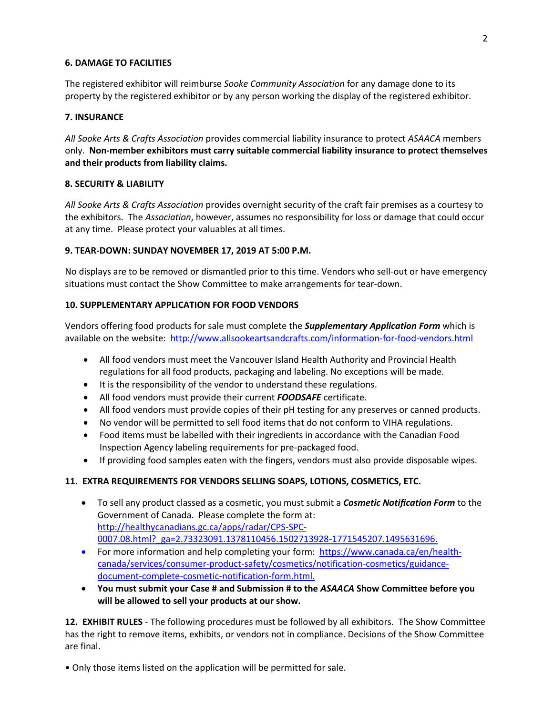#### **6. DAMAGE TO FACILITIES**

The registered exhibitor will reimburse *Sooke Community Association* for any damage done to its property by the registered exhibitor or by any person working the display of the registered exhibitor.

#### **7. INSURANCE**

*All Sooke Arts & Crafts Association* provides commercial liability insurance to protect *ASAACA* members only. **Non-member exhibitors must carry suitable commercial liability insurance to protect themselves and their products from liability claims.**

#### **8. SECURITY & LIABILITY**

*All Sooke Arts & Crafts Association* provides overnight security of the craft fair premises as a courtesy to the exhibitors. The *Association*, however, assumes no responsibility for loss or damage that could occur at any time. Please protect your valuables at all times.

#### **9. TEAR-DOWN: SUNDAY NOVEMBER 17, 2019 AT 5:00 P.M.**

No displays are to be removed or dismantled prior to this time. Vendors who sell-out or have emergency situations must contact the Show Committee to make arrangements for tear-down.

#### **10. SUPPLEMENTARY APPLICATION FOR FOOD VENDORS**

Vendors offering food products for sale must complete the *Supplementary Application Form* which is available on the website: http://www.allsookeartsandcrafts.com/information-for-food-vendors.html

- All food vendors must meet the Vancouver Island Health Authority and Provincial Health regulations for all food products, packaging and labeling. No exceptions will be made.
- It is the responsibility of the vendor to understand these regulations.
- All food vendors must provide their current *FOODSAFE* certificate.
- All food vendors must provide copies of their pH testing for any preserves or canned products.
- No vendor will be permitted to sell food items that do not conform to VIHA regulations.
- Food items must be labelled with their ingredients in accordance with the Canadian Food Inspection Agency labeling requirements for pre-packaged food.
- If providing food samples eaten with the fingers, vendors must also provide disposable wipes.

#### **11. EXTRA REQUIREMENTS FOR VENDORS SELLING SOAPS, LOTIONS, COSMETICS, ETC.**

- To sell any product classed as a cosmetic, you must submit a *Cosmetic Notification Form* to the Government of Canada. Please complete the form at: [http://healthycanadians.gc.ca/apps/radar/CPS-SPC-](http://healthycanadians.gc.ca/apps/radar/CPS-SPC-0007.08.html?_ga=2.73323091.1378110456.1502713928-1771545207.1495631696)[0007.08.html?\\_ga=2.73323091.1378110456.1502713928-1771545207.1495631696.](http://healthycanadians.gc.ca/apps/radar/CPS-SPC-0007.08.html?_ga=2.73323091.1378110456.1502713928-1771545207.1495631696)
- For more information and help completing your form: https://www.canada.ca/en/healthcanada/services/consumer-product-safety/cosmetics/notification-cosmetics/guidancedocument-complete-cosmetic-notification-form.html.
- **You must submit your Case # and Submission # to the** *ASAACA* **Show Committee before you will be allowed to sell your products at our show.**

**12. EXHIBIT RULES** - The following procedures must be followed by all exhibitors. The Show Committee has the right to remove items, exhibits, or vendors not in compliance. Decisions of the Show Committee are final.

• Only those items listed on the application will be permitted for sale.